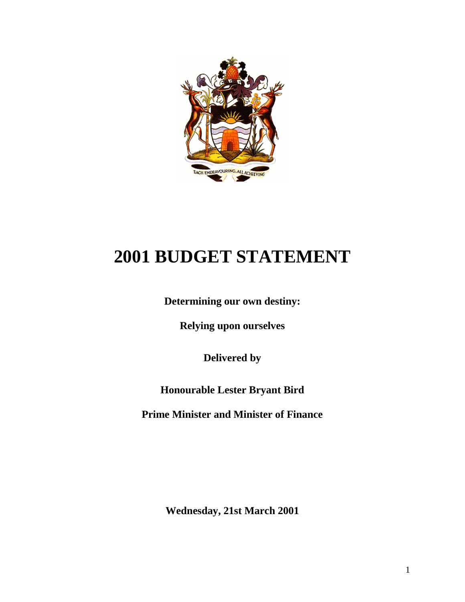

# **2001 BUDGET STATEMENT**

**Determining our own destiny:**

**Relying upon ourselves**

**Delivered by**

**Honourable Lester Bryant Bird**

**Prime Minister and Minister of Finance**

**Wednesday, 21st March 2001**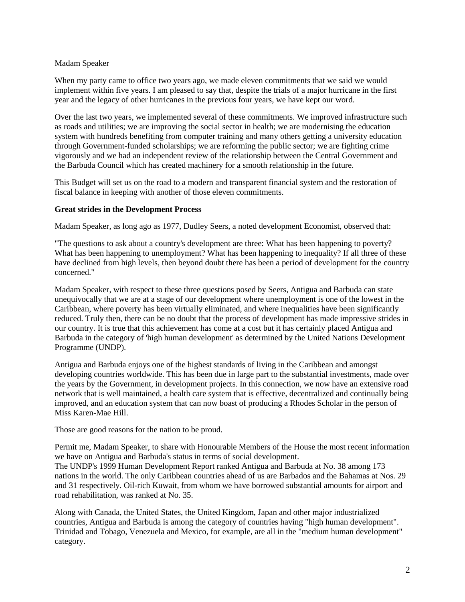### Madam Speaker

When my party came to office two years ago, we made eleven commitments that we said we would implement within five years. I am pleased to say that, despite the trials of a major hurricane in the first year and the legacy of other hurricanes in the previous four years, we have kept our word.

Over the last two years, we implemented several of these commitments. We improved infrastructure such as roads and utilities; we are improving the social sector in health; we are modernising the education system with hundreds benefiting from computer training and many others getting a university education through Government-funded scholarships; we are reforming the public sector; we are fighting crime vigorously and we had an independent review of the relationship between the Central Government and the Barbuda Council which has created machinery for a smooth relationship in the future.

This Budget will set us on the road to a modern and transparent financial system and the restoration of fiscal balance in keeping with another of those eleven commitments.

#### **Great strides in the Development Process**

Madam Speaker, as long ago as 1977, Dudley Seers, a noted development Economist, observed that:

"The questions to ask about a country's development are three: What has been happening to poverty? What has been happening to unemployment? What has been happening to inequality? If all three of these have declined from high levels, then beyond doubt there has been a period of development for the country concerned."

Madam Speaker, with respect to these three questions posed by Seers, Antigua and Barbuda can state unequivocally that we are at a stage of our development where unemployment is one of the lowest in the Caribbean, where poverty has been virtually eliminated, and where inequalities have been significantly reduced. Truly then, there can be no doubt that the process of development has made impressive strides in our country. It is true that this achievement has come at a cost but it has certainly placed Antigua and Barbuda in the category of 'high human development' as determined by the United Nations Development Programme (UNDP).

Antigua and Barbuda enjoys one of the highest standards of living in the Caribbean and amongst developing countries worldwide. This has been due in large part to the substantial investments, made over the years by the Government, in development projects. In this connection, we now have an extensive road network that is well maintained, a health care system that is effective, decentralized and continually being improved, and an education system that can now boast of producing a Rhodes Scholar in the person of Miss Karen-Mae Hill.

Those are good reasons for the nation to be proud.

Permit me, Madam Speaker, to share with Honourable Members of the House the most recent information we have on Antigua and Barbuda's status in terms of social development.

The UNDP's 1999 Human Development Report ranked Antigua and Barbuda at No. 38 among 173 nations in the world. The only Caribbean countries ahead of us are Barbados and the Bahamas at Nos. 29 and 31 respectively. Oil-rich Kuwait, from whom we have borrowed substantial amounts for airport and road rehabilitation, was ranked at No. 35.

Along with Canada, the United States, the United Kingdom, Japan and other major industrialized countries, Antigua and Barbuda is among the category of countries having "high human development". Trinidad and Tobago, Venezuela and Mexico, for example, are all in the "medium human development" category.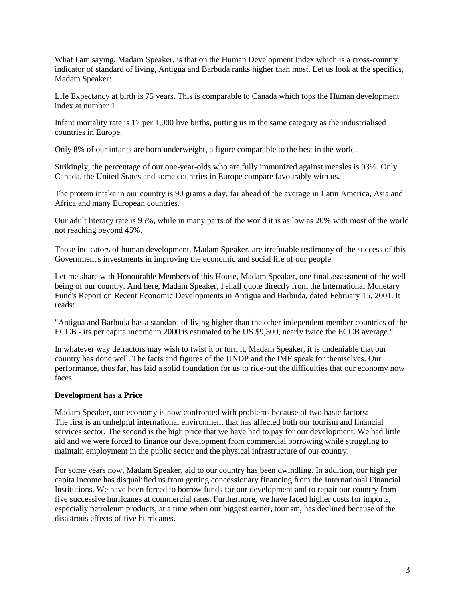What I am saying, Madam Speaker, is that on the Human Development Index which is a cross-country indicator of standard of living, Antigua and Barbuda ranks higher than most. Let us look at the specifics, Madam Speaker:

Life Expectancy at birth is 75 years. This is comparable to Canada which tops the Human development index at number 1.

Infant mortality rate is 17 per 1,000 live births, putting us in the same category as the industrialised countries in Europe.

Only 8% of our infants are born underweight, a figure comparable to the best in the world.

Strikingly, the percentage of our one-year-olds who are fully immunized against measles is 93%. Only Canada, the United States and some countries in Europe compare favourably with us.

The protein intake in our country is 90 grams a day, far ahead of the average in Latin America, Asia and Africa and many European countries.

Our adult literacy rate is 95%, while in many parts of the world it is as low as 20% with most of the world not reaching beyond 45%.

Those indicators of human development, Madam Speaker, are irrefutable testimony of the success of this Government's investments in improving the economic and social life of our people.

Let me share with Honourable Members of this House, Madam Speaker, one final assessment of the wellbeing of our country. And here, Madam Speaker, I shall quote directly from the International Monetary Fund's Report on Recent Economic Developments in Antigua and Barbuda, dated February 15, 2001. It reads:

"Antigua and Barbuda has a standard of living higher than the other independent member countries of the ECCB - its per capita income in 2000 is estimated to be US \$9,300, nearly twice the ECCB average."

In whatever way detractors may wish to twist it or turn it, Madam Speaker, it is undeniable that our country has done well. The facts and figures of the UNDP and the IMF speak for themselves. Our performance, thus far, has laid a solid foundation for us to ride-out the difficulties that our economy now faces.

#### **Development has a Price**

Madam Speaker, our economy is now confronted with problems because of two basic factors: The first is an unhelpful international environment that has affected both our tourism and financial services sector. The second is the high price that we have had to pay for our development. We had little aid and we were forced to finance our development from commercial borrowing while struggling to maintain employment in the public sector and the physical infrastructure of our country.

For some years now, Madam Speaker, aid to our country has been dwindling. In addition, our high per capita income has disqualified us from getting concessionary financing from the International Financial Institutions. We have been forced to borrow funds for our development and to repair our country from five successive hurricanes at commercial rates. Furthermore, we have faced higher costs for imports, especially petroleum products, at a time when our biggest earner, tourism, has declined because of the disastrous effects of five hurricanes.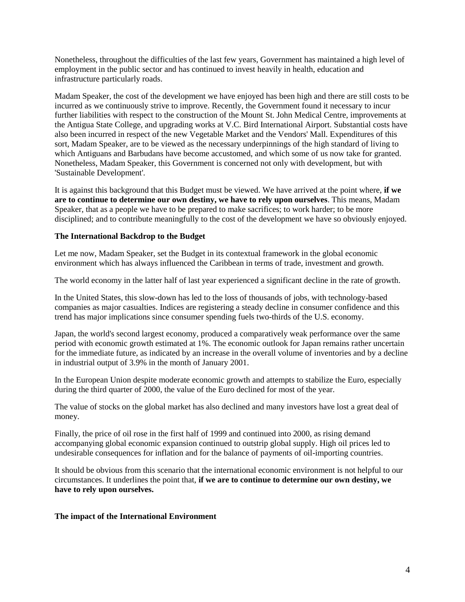Nonetheless, throughout the difficulties of the last few years, Government has maintained a high level of employment in the public sector and has continued to invest heavily in health, education and infrastructure particularly roads.

Madam Speaker, the cost of the development we have enjoyed has been high and there are still costs to be incurred as we continuously strive to improve. Recently, the Government found it necessary to incur further liabilities with respect to the construction of the Mount St. John Medical Centre, improvements at the Antigua State College, and upgrading works at V.C. Bird International Airport. Substantial costs have also been incurred in respect of the new Vegetable Market and the Vendors' Mall. Expenditures of this sort, Madam Speaker, are to be viewed as the necessary underpinnings of the high standard of living to which Antiguans and Barbudans have become accustomed, and which some of us now take for granted. Nonetheless, Madam Speaker, this Government is concerned not only with development, but with 'Sustainable Development'.

It is against this background that this Budget must be viewed. We have arrived at the point where, **if we are to continue to determine our own destiny, we have to rely upon ourselves**. This means, Madam Speaker, that as a people we have to be prepared to make sacrifices; to work harder; to be more disciplined; and to contribute meaningfully to the cost of the development we have so obviously enjoyed.

# **The International Backdrop to the Budget**

Let me now, Madam Speaker, set the Budget in its contextual framework in the global economic environment which has always influenced the Caribbean in terms of trade, investment and growth.

The world economy in the latter half of last year experienced a significant decline in the rate of growth.

In the United States, this slow-down has led to the loss of thousands of jobs, with technology-based companies as major casualties. Indices are registering a steady decline in consumer confidence and this trend has major implications since consumer spending fuels two-thirds of the U.S. economy.

Japan, the world's second largest economy, produced a comparatively weak performance over the same period with economic growth estimated at 1%. The economic outlook for Japan remains rather uncertain for the immediate future, as indicated by an increase in the overall volume of inventories and by a decline in industrial output of 3.9% in the month of January 2001.

In the European Union despite moderate economic growth and attempts to stabilize the Euro, especially during the third quarter of 2000, the value of the Euro declined for most of the year.

The value of stocks on the global market has also declined and many investors have lost a great deal of money.

Finally, the price of oil rose in the first half of 1999 and continued into 2000, as rising demand accompanying global economic expansion continued to outstrip global supply. High oil prices led to undesirable consequences for inflation and for the balance of payments of oil-importing countries.

It should be obvious from this scenario that the international economic environment is not helpful to our circumstances. It underlines the point that, **if we are to continue to determine our own destiny, we have to rely upon ourselves.** 

#### **The impact of the International Environment**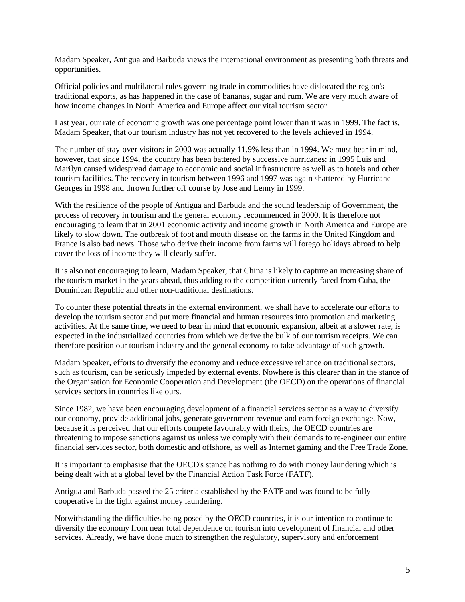Madam Speaker, Antigua and Barbuda views the international environment as presenting both threats and opportunities.

Official policies and multilateral rules governing trade in commodities have dislocated the region's traditional exports, as has happened in the case of bananas, sugar and rum. We are very much aware of how income changes in North America and Europe affect our vital tourism sector.

Last year, our rate of economic growth was one percentage point lower than it was in 1999. The fact is, Madam Speaker, that our tourism industry has not yet recovered to the levels achieved in 1994.

The number of stay-over visitors in 2000 was actually 11.9% less than in 1994. We must bear in mind, however, that since 1994, the country has been battered by successive hurricanes: in 1995 Luis and Marilyn caused widespread damage to economic and social infrastructure as well as to hotels and other tourism facilities. The recovery in tourism between 1996 and 1997 was again shattered by Hurricane Georges in 1998 and thrown further off course by Jose and Lenny in 1999.

With the resilience of the people of Antigua and Barbuda and the sound leadership of Government, the process of recovery in tourism and the general economy recommenced in 2000. It is therefore not encouraging to learn that in 2001 economic activity and income growth in North America and Europe are likely to slow down. The outbreak of foot and mouth disease on the farms in the United Kingdom and France is also bad news. Those who derive their income from farms will forego holidays abroad to help cover the loss of income they will clearly suffer.

It is also not encouraging to learn, Madam Speaker, that China is likely to capture an increasing share of the tourism market in the years ahead, thus adding to the competition currently faced from Cuba, the Dominican Republic and other non-traditional destinations.

To counter these potential threats in the external environment, we shall have to accelerate our efforts to develop the tourism sector and put more financial and human resources into promotion and marketing activities. At the same time, we need to bear in mind that economic expansion, albeit at a slower rate, is expected in the industrialized countries from which we derive the bulk of our tourism receipts. We can therefore position our tourism industry and the general economy to take advantage of such growth.

Madam Speaker, efforts to diversify the economy and reduce excessive reliance on traditional sectors, such as tourism, can be seriously impeded by external events. Nowhere is this clearer than in the stance of the Organisation for Economic Cooperation and Development (the OECD) on the operations of financial services sectors in countries like ours.

Since 1982, we have been encouraging development of a financial services sector as a way to diversify our economy, provide additional jobs, generate government revenue and earn foreign exchange. Now, because it is perceived that our efforts compete favourably with theirs, the OECD countries are threatening to impose sanctions against us unless we comply with their demands to re-engineer our entire financial services sector, both domestic and offshore, as well as Internet gaming and the Free Trade Zone.

It is important to emphasise that the OECD's stance has nothing to do with money laundering which is being dealt with at a global level by the Financial Action Task Force (FATF).

Antigua and Barbuda passed the 25 criteria established by the FATF and was found to be fully cooperative in the fight against money laundering.

Notwithstanding the difficulties being posed by the OECD countries, it is our intention to continue to diversify the economy from near total dependence on tourism into development of financial and other services. Already, we have done much to strengthen the regulatory, supervisory and enforcement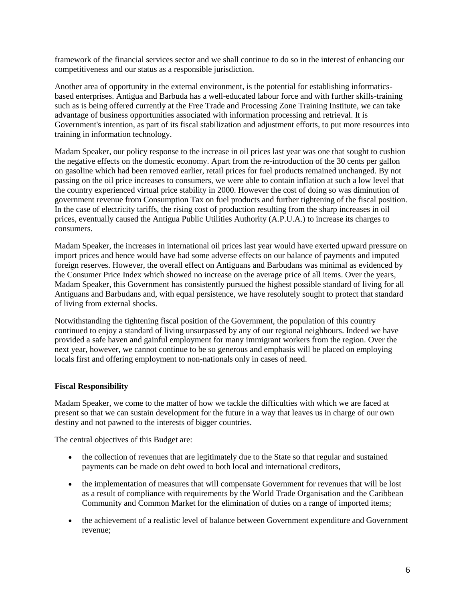framework of the financial services sector and we shall continue to do so in the interest of enhancing our competitiveness and our status as a responsible jurisdiction.

Another area of opportunity in the external environment, is the potential for establishing informaticsbased enterprises. Antigua and Barbuda has a well-educated labour force and with further skills-training such as is being offered currently at the Free Trade and Processing Zone Training Institute, we can take advantage of business opportunities associated with information processing and retrieval. It is Government's intention, as part of its fiscal stabilization and adjustment efforts, to put more resources into training in information technology.

Madam Speaker, our policy response to the increase in oil prices last year was one that sought to cushion the negative effects on the domestic economy. Apart from the re-introduction of the 30 cents per gallon on gasoline which had been removed earlier, retail prices for fuel products remained unchanged. By not passing on the oil price increases to consumers, we were able to contain inflation at such a low level that the country experienced virtual price stability in 2000. However the cost of doing so was diminution of government revenue from Consumption Tax on fuel products and further tightening of the fiscal position. In the case of electricity tariffs, the rising cost of production resulting from the sharp increases in oil prices, eventually caused the Antigua Public Utilities Authority (A.P.U.A.) to increase its charges to consumers.

Madam Speaker, the increases in international oil prices last year would have exerted upward pressure on import prices and hence would have had some adverse effects on our balance of payments and imputed foreign reserves. However, the overall effect on Antiguans and Barbudans was minimal as evidenced by the Consumer Price Index which showed no increase on the average price of all items. Over the years, Madam Speaker, this Government has consistently pursued the highest possible standard of living for all Antiguans and Barbudans and, with equal persistence, we have resolutely sought to protect that standard of living from external shocks.

Notwithstanding the tightening fiscal position of the Government, the population of this country continued to enjoy a standard of living unsurpassed by any of our regional neighbours. Indeed we have provided a safe haven and gainful employment for many immigrant workers from the region. Over the next year, however, we cannot continue to be so generous and emphasis will be placed on employing locals first and offering employment to non-nationals only in cases of need.

# **Fiscal Responsibility**

Madam Speaker, we come to the matter of how we tackle the difficulties with which we are faced at present so that we can sustain development for the future in a way that leaves us in charge of our own destiny and not pawned to the interests of bigger countries.

The central objectives of this Budget are:

- the collection of revenues that are legitimately due to the State so that regular and sustained payments can be made on debt owed to both local and international creditors,
- the implementation of measures that will compensate Government for revenues that will be lost as a result of compliance with requirements by the World Trade Organisation and the Caribbean Community and Common Market for the elimination of duties on a range of imported items;
- the achievement of a realistic level of balance between Government expenditure and Government revenue;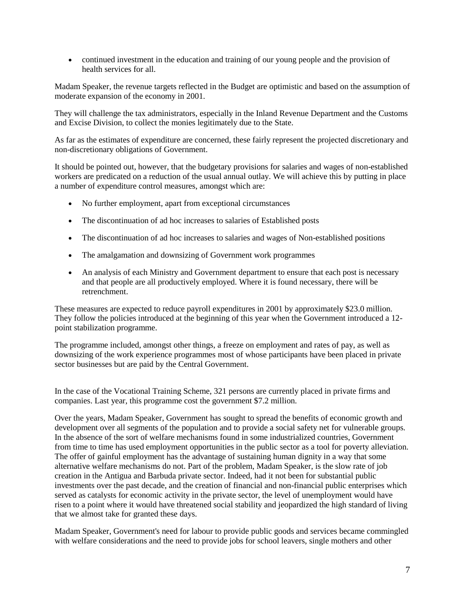continued investment in the education and training of our young people and the provision of health services for all.

Madam Speaker, the revenue targets reflected in the Budget are optimistic and based on the assumption of moderate expansion of the economy in 2001.

They will challenge the tax administrators, especially in the Inland Revenue Department and the Customs and Excise Division, to collect the monies legitimately due to the State.

As far as the estimates of expenditure are concerned, these fairly represent the projected discretionary and non-discretionary obligations of Government.

It should be pointed out, however, that the budgetary provisions for salaries and wages of non-established workers are predicated on a reduction of the usual annual outlay. We will achieve this by putting in place a number of expenditure control measures, amongst which are:

- No further employment, apart from exceptional circumstances
- The discontinuation of ad hoc increases to salaries of Established posts
- The discontinuation of ad hoc increases to salaries and wages of Non-established positions
- The amalgamation and downsizing of Government work programmes
- An analysis of each Ministry and Government department to ensure that each post is necessary and that people are all productively employed. Where it is found necessary, there will be retrenchment.

These measures are expected to reduce payroll expenditures in 2001 by approximately \$23.0 million. They follow the policies introduced at the beginning of this year when the Government introduced a 12 point stabilization programme.

The programme included, amongst other things, a freeze on employment and rates of pay, as well as downsizing of the work experience programmes most of whose participants have been placed in private sector businesses but are paid by the Central Government.

In the case of the Vocational Training Scheme, 321 persons are currently placed in private firms and companies. Last year, this programme cost the government \$7.2 million.

Over the years, Madam Speaker, Government has sought to spread the benefits of economic growth and development over all segments of the population and to provide a social safety net for vulnerable groups. In the absence of the sort of welfare mechanisms found in some industrialized countries, Government from time to time has used employment opportunities in the public sector as a tool for poverty alleviation. The offer of gainful employment has the advantage of sustaining human dignity in a way that some alternative welfare mechanisms do not. Part of the problem, Madam Speaker, is the slow rate of job creation in the Antigua and Barbuda private sector. Indeed, had it not been for substantial public investments over the past decade, and the creation of financial and non-financial public enterprises which served as catalysts for economic activity in the private sector, the level of unemployment would have risen to a point where it would have threatened social stability and jeopardized the high standard of living that we almost take for granted these days.

Madam Speaker, Government's need for labour to provide public goods and services became commingled with welfare considerations and the need to provide jobs for school leavers, single mothers and other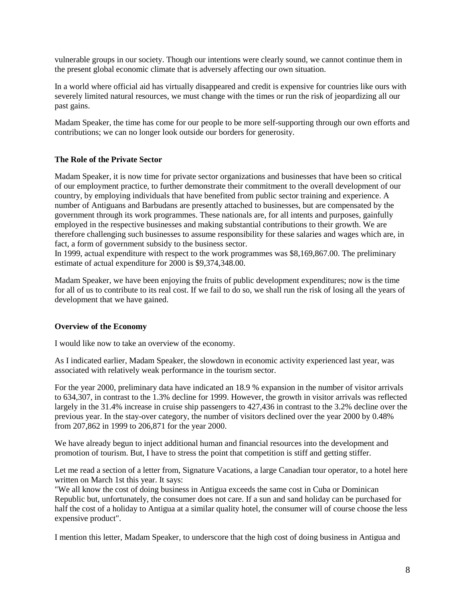vulnerable groups in our society. Though our intentions were clearly sound, we cannot continue them in the present global economic climate that is adversely affecting our own situation.

In a world where official aid has virtually disappeared and credit is expensive for countries like ours with severely limited natural resources, we must change with the times or run the risk of jeopardizing all our past gains.

Madam Speaker, the time has come for our people to be more self-supporting through our own efforts and contributions; we can no longer look outside our borders for generosity.

#### **The Role of the Private Sector**

Madam Speaker, it is now time for private sector organizations and businesses that have been so critical of our employment practice, to further demonstrate their commitment to the overall development of our country, by employing individuals that have benefited from public sector training and experience. A number of Antiguans and Barbudans are presently attached to businesses, but are compensated by the government through its work programmes. These nationals are, for all intents and purposes, gainfully employed in the respective businesses and making substantial contributions to their growth. We are therefore challenging such businesses to assume responsibility for these salaries and wages which are, in fact, a form of government subsidy to the business sector.

In 1999, actual expenditure with respect to the work programmes was \$8,169,867.00. The preliminary estimate of actual expenditure for 2000 is \$9,374,348.00.

Madam Speaker, we have been enjoying the fruits of public development expenditures; now is the time for all of us to contribute to its real cost. If we fail to do so, we shall run the risk of losing all the years of development that we have gained.

#### **Overview of the Economy**

I would like now to take an overview of the economy.

As I indicated earlier, Madam Speaker, the slowdown in economic activity experienced last year, was associated with relatively weak performance in the tourism sector.

For the year 2000, preliminary data have indicated an 18.9 % expansion in the number of visitor arrivals to 634,307, in contrast to the 1.3% decline for 1999. However, the growth in visitor arrivals was reflected largely in the 31.4% increase in cruise ship passengers to 427,436 in contrast to the 3.2% decline over the previous year. In the stay-over category, the number of visitors declined over the year 2000 by 0.48% from 207,862 in 1999 to 206,871 for the year 2000.

We have already begun to inject additional human and financial resources into the development and promotion of tourism. But, I have to stress the point that competition is stiff and getting stiffer.

Let me read a section of a letter from, Signature Vacations, a large Canadian tour operator, to a hotel here written on March 1st this year. It says:

"We all know the cost of doing business in Antigua exceeds the same cost in Cuba or Dominican Republic but, unfortunately, the consumer does not care. If a sun and sand holiday can be purchased for half the cost of a holiday to Antigua at a similar quality hotel, the consumer will of course choose the less expensive product".

I mention this letter, Madam Speaker, to underscore that the high cost of doing business in Antigua and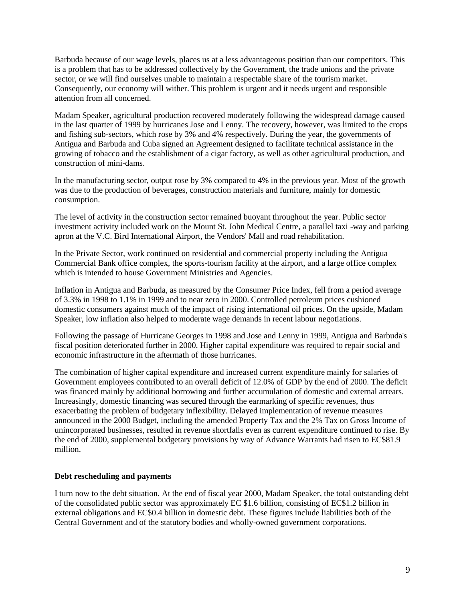Barbuda because of our wage levels, places us at a less advantageous position than our competitors. This is a problem that has to be addressed collectively by the Government, the trade unions and the private sector, or we will find ourselves unable to maintain a respectable share of the tourism market. Consequently, our economy will wither. This problem is urgent and it needs urgent and responsible attention from all concerned.

Madam Speaker, agricultural production recovered moderately following the widespread damage caused in the last quarter of 1999 by hurricanes Jose and Lenny. The recovery, however, was limited to the crops and fishing sub-sectors, which rose by 3% and 4% respectively. During the year, the governments of Antigua and Barbuda and Cuba signed an Agreement designed to facilitate technical assistance in the growing of tobacco and the establishment of a cigar factory, as well as other agricultural production, and construction of mini-dams.

In the manufacturing sector, output rose by 3% compared to 4% in the previous year. Most of the growth was due to the production of beverages, construction materials and furniture, mainly for domestic consumption.

The level of activity in the construction sector remained buoyant throughout the year. Public sector investment activity included work on the Mount St. John Medical Centre, a parallel taxi -way and parking apron at the V.C. Bird International Airport, the Vendors' Mall and road rehabilitation.

In the Private Sector, work continued on residential and commercial property including the Antigua Commercial Bank office complex, the sports-tourism facility at the airport, and a large office complex which is intended to house Government Ministries and Agencies.

Inflation in Antigua and Barbuda, as measured by the Consumer Price Index, fell from a period average of 3.3% in 1998 to 1.1% in 1999 and to near zero in 2000. Controlled petroleum prices cushioned domestic consumers against much of the impact of rising international oil prices. On the upside, Madam Speaker, low inflation also helped to moderate wage demands in recent labour negotiations.

Following the passage of Hurricane Georges in 1998 and Jose and Lenny in 1999, Antigua and Barbuda's fiscal position deteriorated further in 2000. Higher capital expenditure was required to repair social and economic infrastructure in the aftermath of those hurricanes.

The combination of higher capital expenditure and increased current expenditure mainly for salaries of Government employees contributed to an overall deficit of 12.0% of GDP by the end of 2000. The deficit was financed mainly by additional borrowing and further accumulation of domestic and external arrears. Increasingly, domestic financing was secured through the earmarking of specific revenues, thus exacerbating the problem of budgetary inflexibility. Delayed implementation of revenue measures announced in the 2000 Budget, including the amended Property Tax and the 2% Tax on Gross Income of unincorporated businesses, resulted in revenue shortfalls even as current expenditure continued to rise. By the end of 2000, supplemental budgetary provisions by way of Advance Warrants had risen to EC\$81.9 million.

#### **Debt rescheduling and payments**

I turn now to the debt situation. At the end of fiscal year 2000, Madam Speaker, the total outstanding debt of the consolidated public sector was approximately EC \$1.6 billion, consisting of EC\$1.2 billion in external obligations and EC\$0.4 billion in domestic debt. These figures include liabilities both of the Central Government and of the statutory bodies and wholly-owned government corporations.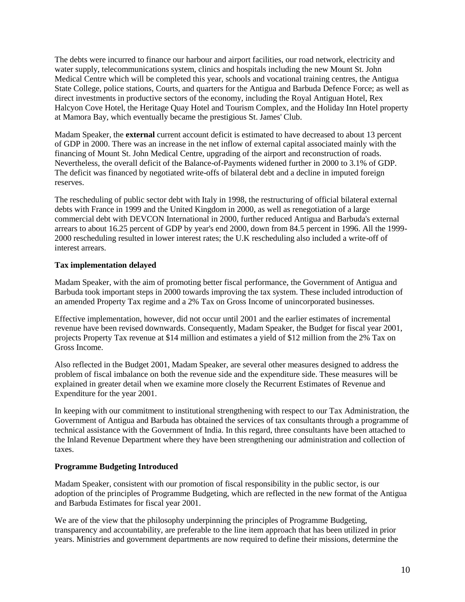The debts were incurred to finance our harbour and airport facilities, our road network, electricity and water supply, telecommunications system, clinics and hospitals including the new Mount St. John Medical Centre which will be completed this year, schools and vocational training centres, the Antigua State College, police stations, Courts, and quarters for the Antigua and Barbuda Defence Force; as well as direct investments in productive sectors of the economy, including the Royal Antiguan Hotel, Rex Halcyon Cove Hotel, the Heritage Quay Hotel and Tourism Complex, and the Holiday Inn Hotel property at Mamora Bay, which eventually became the prestigious St. James' Club.

Madam Speaker, the **external** current account deficit is estimated to have decreased to about 13 percent of GDP in 2000. There was an increase in the net inflow of external capital associated mainly with the financing of Mount St. John Medical Centre, upgrading of the airport and reconstruction of roads. Nevertheless, the overall deficit of the Balance-of-Payments widened further in 2000 to 3.1% of GDP. The deficit was financed by negotiated write-offs of bilateral debt and a decline in imputed foreign reserves.

The rescheduling of public sector debt with Italy in 1998, the restructuring of official bilateral external debts with France in 1999 and the United Kingdom in 2000, as well as renegotiation of a large commercial debt with DEVCON International in 2000, further reduced Antigua and Barbuda's external arrears to about 16.25 percent of GDP by year's end 2000, down from 84.5 percent in 1996. All the 1999- 2000 rescheduling resulted in lower interest rates; the U.K rescheduling also included a write-off of interest arrears.

# **Tax implementation delayed**

Madam Speaker, with the aim of promoting better fiscal performance, the Government of Antigua and Barbuda took important steps in 2000 towards improving the tax system. These included introduction of an amended Property Tax regime and a 2% Tax on Gross Income of unincorporated businesses.

Effective implementation, however, did not occur until 2001 and the earlier estimates of incremental revenue have been revised downwards. Consequently, Madam Speaker, the Budget for fiscal year 2001, projects Property Tax revenue at \$14 million and estimates a yield of \$12 million from the 2% Tax on Gross Income.

Also reflected in the Budget 2001, Madam Speaker, are several other measures designed to address the problem of fiscal imbalance on both the revenue side and the expenditure side. These measures will be explained in greater detail when we examine more closely the Recurrent Estimates of Revenue and Expenditure for the year 2001.

In keeping with our commitment to institutional strengthening with respect to our Tax Administration, the Government of Antigua and Barbuda has obtained the services of tax consultants through a programme of technical assistance with the Government of India. In this regard, three consultants have been attached to the Inland Revenue Department where they have been strengthening our administration and collection of taxes.

# **Programme Budgeting Introduced**

Madam Speaker, consistent with our promotion of fiscal responsibility in the public sector, is our adoption of the principles of Programme Budgeting, which are reflected in the new format of the Antigua and Barbuda Estimates for fiscal year 2001.

We are of the view that the philosophy underpinning the principles of Programme Budgeting, transparency and accountability, are preferable to the line item approach that has been utilized in prior years. Ministries and government departments are now required to define their missions, determine the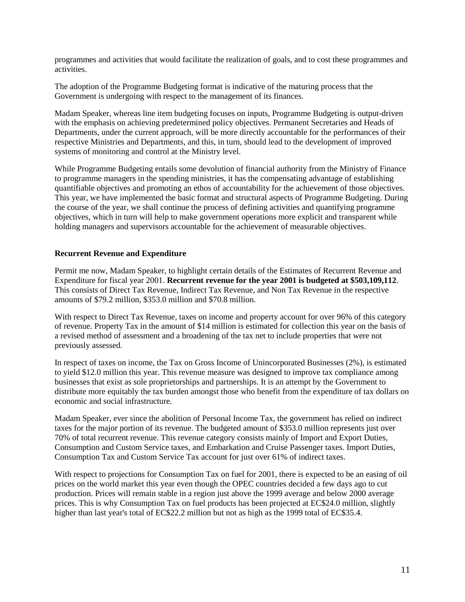programmes and activities that would facilitate the realization of goals, and to cost these programmes and activities.

The adoption of the Programme Budgeting format is indicative of the maturing process that the Government is undergoing with respect to the management of its finances.

Madam Speaker, whereas line item budgeting focuses on inputs, Programme Budgeting is output-driven with the emphasis on achieving predetermined policy objectives. Permanent Secretaries and Heads of Departments, under the current approach, will be more directly accountable for the performances of their respective Ministries and Departments, and this, in turn, should lead to the development of improved systems of monitoring and control at the Ministry level.

While Programme Budgeting entails some devolution of financial authority from the Ministry of Finance to programme managers in the spending ministries, it has the compensating advantage of establishing quantifiable objectives and promoting an ethos of accountability for the achievement of those objectives. This year, we have implemented the basic format and structural aspects of Programme Budgeting. During the course of the year, we shall continue the process of defining activities and quantifying programme objectives, which in turn will help to make government operations more explicit and transparent while holding managers and supervisors accountable for the achievement of measurable objectives.

#### **Recurrent Revenue and Expenditure**

Permit me now, Madam Speaker, to highlight certain details of the Estimates of Recurrent Revenue and Expenditure for fiscal year 2001. **Recurrent revenue for the year 2001 is budgeted at \$503,109,112**. This consists of Direct Tax Revenue, Indirect Tax Revenue, and Non Tax Revenue in the respective amounts of \$79.2 million, \$353.0 million and \$70.8 million.

With respect to Direct Tax Revenue, taxes on income and property account for over 96% of this category of revenue. Property Tax in the amount of \$14 million is estimated for collection this year on the basis of a revised method of assessment and a broadening of the tax net to include properties that were not previously assessed.

In respect of taxes on income, the Tax on Gross Income of Unincorporated Businesses (2%), is estimated to yield \$12.0 million this year. This revenue measure was designed to improve tax compliance among businesses that exist as sole proprietorships and partnerships. It is an attempt by the Government to distribute more equitably the tax burden amongst those who benefit from the expenditure of tax dollars on economic and social infrastructure.

Madam Speaker, ever since the abolition of Personal Income Tax, the government has relied on indirect taxes for the major portion of its revenue. The budgeted amount of \$353.0 million represents just over 70% of total recurrent revenue. This revenue category consists mainly of Import and Export Duties, Consumption and Custom Service taxes, and Embarkation and Cruise Passenger taxes. Import Duties, Consumption Tax and Custom Service Tax account for just over 61% of indirect taxes.

With respect to projections for Consumption Tax on fuel for 2001, there is expected to be an easing of oil prices on the world market this year even though the OPEC countries decided a few days ago to cut production. Prices will remain stable in a region just above the 1999 average and below 2000 average prices. This is why Consumption Tax on fuel products has been projected at EC\$24.0 million, slightly higher than last year's total of EC\$22.2 million but not as high as the 1999 total of EC\$35.4.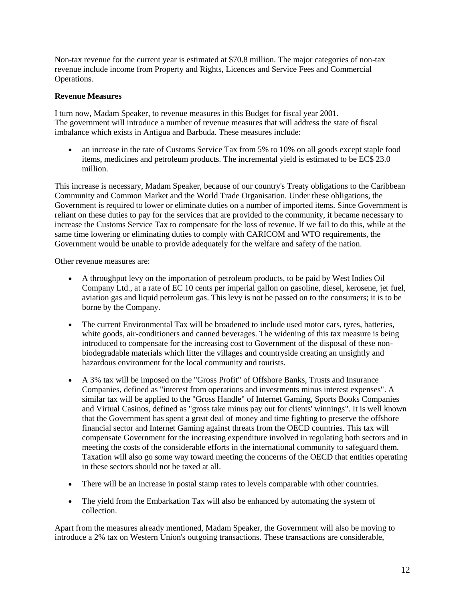Non-tax revenue for the current year is estimated at \$70.8 million. The major categories of non-tax revenue include income from Property and Rights, Licences and Service Fees and Commercial Operations.

# **Revenue Measures**

I turn now, Madam Speaker, to revenue measures in this Budget for fiscal year 2001. The government will introduce a number of revenue measures that will address the state of fiscal imbalance which exists in Antigua and Barbuda. These measures include:

 an increase in the rate of Customs Service Tax from 5% to 10% on all goods except staple food items, medicines and petroleum products. The incremental yield is estimated to be EC\$ 23.0 million.

This increase is necessary, Madam Speaker, because of our country's Treaty obligations to the Caribbean Community and Common Market and the World Trade Organisation. Under these obligations, the Government is required to lower or eliminate duties on a number of imported items. Since Government is reliant on these duties to pay for the services that are provided to the community, it became necessary to increase the Customs Service Tax to compensate for the loss of revenue. If we fail to do this, while at the same time lowering or eliminating duties to comply with CARICOM and WTO requirements, the Government would be unable to provide adequately for the welfare and safety of the nation.

Other revenue measures are:

- A throughput levy on the importation of petroleum products, to be paid by West Indies Oil Company Ltd., at a rate of EC 10 cents per imperial gallon on gasoline, diesel, kerosene, jet fuel, aviation gas and liquid petroleum gas. This levy is not be passed on to the consumers; it is to be borne by the Company.
- The current Environmental Tax will be broadened to include used motor cars, tyres, batteries, white goods, air-conditioners and canned beverages. The widening of this tax measure is being introduced to compensate for the increasing cost to Government of the disposal of these nonbiodegradable materials which litter the villages and countryside creating an unsightly and hazardous environment for the local community and tourists.
- A 3% tax will be imposed on the "Gross Profit" of Offshore Banks, Trusts and Insurance Companies, defined as "interest from operations and investments minus interest expenses". A similar tax will be applied to the "Gross Handle" of Internet Gaming, Sports Books Companies and Virtual Casinos, defined as "gross take minus pay out for clients' winnings". It is well known that the Government has spent a great deal of money and time fighting to preserve the offshore financial sector and Internet Gaming against threats from the OECD countries. This tax will compensate Government for the increasing expenditure involved in regulating both sectors and in meeting the costs of the considerable efforts in the international community to safeguard them. Taxation will also go some way toward meeting the concerns of the OECD that entities operating in these sectors should not be taxed at all.
- There will be an increase in postal stamp rates to levels comparable with other countries.
- The yield from the Embarkation Tax will also be enhanced by automating the system of collection.

Apart from the measures already mentioned, Madam Speaker, the Government will also be moving to introduce a 2% tax on Western Union's outgoing transactions. These transactions are considerable,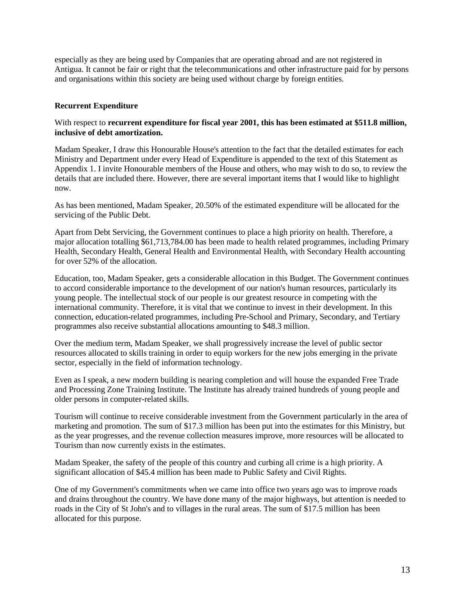especially as they are being used by Companies that are operating abroad and are not registered in Antigua. It cannot be fair or right that the telecommunications and other infrastructure paid for by persons and organisations within this society are being used without charge by foreign entities.

### **Recurrent Expenditure**

#### With respect to **recurrent expenditure for fiscal year 2001, this has been estimated at \$511.8 million, inclusive of debt amortization.**

Madam Speaker, I draw this Honourable House's attention to the fact that the detailed estimates for each Ministry and Department under every Head of Expenditure is appended to the text of this Statement as Appendix 1. I invite Honourable members of the House and others, who may wish to do so, to review the details that are included there. However, there are several important items that I would like to highlight now.

As has been mentioned, Madam Speaker, 20.50% of the estimated expenditure will be allocated for the servicing of the Public Debt.

Apart from Debt Servicing, the Government continues to place a high priority on health. Therefore, a major allocation totalling \$61,713,784.00 has been made to health related programmes, including Primary Health, Secondary Health, General Health and Environmental Health, with Secondary Health accounting for over 52% of the allocation.

Education, too, Madam Speaker, gets a considerable allocation in this Budget. The Government continues to accord considerable importance to the development of our nation's human resources, particularly its young people. The intellectual stock of our people is our greatest resource in competing with the international community. Therefore, it is vital that we continue to invest in their development. In this connection, education-related programmes, including Pre-School and Primary, Secondary, and Tertiary programmes also receive substantial allocations amounting to \$48.3 million.

Over the medium term, Madam Speaker, we shall progressively increase the level of public sector resources allocated to skills training in order to equip workers for the new jobs emerging in the private sector, especially in the field of information technology.

Even as I speak, a new modern building is nearing completion and will house the expanded Free Trade and Processing Zone Training Institute. The Institute has already trained hundreds of young people and older persons in computer-related skills.

Tourism will continue to receive considerable investment from the Government particularly in the area of marketing and promotion. The sum of \$17.3 million has been put into the estimates for this Ministry, but as the year progresses, and the revenue collection measures improve, more resources will be allocated to Tourism than now currently exists in the estimates.

Madam Speaker, the safety of the people of this country and curbing all crime is a high priority. A significant allocation of \$45.4 million has been made to Public Safety and Civil Rights.

One of my Government's commitments when we came into office two years ago was to improve roads and drains throughout the country. We have done many of the major highways, but attention is needed to roads in the City of St John's and to villages in the rural areas. The sum of \$17.5 million has been allocated for this purpose.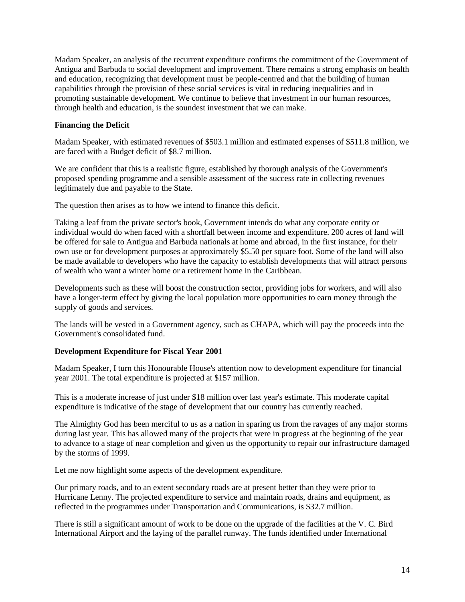Madam Speaker, an analysis of the recurrent expenditure confirms the commitment of the Government of Antigua and Barbuda to social development and improvement. There remains a strong emphasis on health and education, recognizing that development must be people-centred and that the building of human capabilities through the provision of these social services is vital in reducing inequalities and in promoting sustainable development. We continue to believe that investment in our human resources, through health and education, is the soundest investment that we can make.

# **Financing the Deficit**

Madam Speaker, with estimated revenues of \$503.1 million and estimated expenses of \$511.8 million, we are faced with a Budget deficit of \$8.7 million.

We are confident that this is a realistic figure, established by thorough analysis of the Government's proposed spending programme and a sensible assessment of the success rate in collecting revenues legitimately due and payable to the State.

The question then arises as to how we intend to finance this deficit.

Taking a leaf from the private sector's book, Government intends do what any corporate entity or individual would do when faced with a shortfall between income and expenditure. 200 acres of land will be offered for sale to Antigua and Barbuda nationals at home and abroad, in the first instance, for their own use or for development purposes at approximately \$5.50 per square foot. Some of the land will also be made available to developers who have the capacity to establish developments that will attract persons of wealth who want a winter home or a retirement home in the Caribbean.

Developments such as these will boost the construction sector, providing jobs for workers, and will also have a longer-term effect by giving the local population more opportunities to earn money through the supply of goods and services.

The lands will be vested in a Government agency, such as CHAPA, which will pay the proceeds into the Government's consolidated fund.

#### **Development Expenditure for Fiscal Year 2001**

Madam Speaker, I turn this Honourable House's attention now to development expenditure for financial year 2001. The total expenditure is projected at \$157 million.

This is a moderate increase of just under \$18 million over last year's estimate. This moderate capital expenditure is indicative of the stage of development that our country has currently reached.

The Almighty God has been merciful to us as a nation in sparing us from the ravages of any major storms during last year. This has allowed many of the projects that were in progress at the beginning of the year to advance to a stage of near completion and given us the opportunity to repair our infrastructure damaged by the storms of 1999.

Let me now highlight some aspects of the development expenditure.

Our primary roads, and to an extent secondary roads are at present better than they were prior to Hurricane Lenny. The projected expenditure to service and maintain roads, drains and equipment, as reflected in the programmes under Transportation and Communications, is \$32.7 million.

There is still a significant amount of work to be done on the upgrade of the facilities at the V. C. Bird International Airport and the laying of the parallel runway. The funds identified under International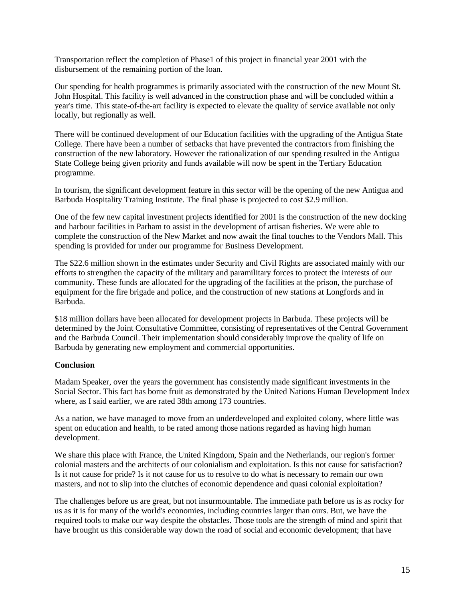Transportation reflect the completion of Phase1 of this project in financial year 2001 with the disbursement of the remaining portion of the loan.

Our spending for health programmes is primarily associated with the construction of the new Mount St. John Hospital. This facility is well advanced in the construction phase and will be concluded within a year's time. This state-of-the-art facility is expected to elevate the quality of service available not only locally, but regionally as well.

There will be continued development of our Education facilities with the upgrading of the Antigua State College. There have been a number of setbacks that have prevented the contractors from finishing the construction of the new laboratory. However the rationalization of our spending resulted in the Antigua State College being given priority and funds available will now be spent in the Tertiary Education programme.

In tourism, the significant development feature in this sector will be the opening of the new Antigua and Barbuda Hospitality Training Institute. The final phase is projected to cost \$2.9 million.

One of the few new capital investment projects identified for 2001 is the construction of the new docking and harbour facilities in Parham to assist in the development of artisan fisheries. We were able to complete the construction of the New Market and now await the final touches to the Vendors Mall. This spending is provided for under our programme for Business Development.

The \$22.6 million shown in the estimates under Security and Civil Rights are associated mainly with our efforts to strengthen the capacity of the military and paramilitary forces to protect the interests of our community. These funds are allocated for the upgrading of the facilities at the prison, the purchase of equipment for the fire brigade and police, and the construction of new stations at Longfords and in Barbuda.

\$18 million dollars have been allocated for development projects in Barbuda. These projects will be determined by the Joint Consultative Committee, consisting of representatives of the Central Government and the Barbuda Council. Their implementation should considerably improve the quality of life on Barbuda by generating new employment and commercial opportunities.

#### **Conclusion**

Madam Speaker, over the years the government has consistently made significant investments in the Social Sector. This fact has borne fruit as demonstrated by the United Nations Human Development Index where, as I said earlier, we are rated 38th among 173 countries.

As a nation, we have managed to move from an underdeveloped and exploited colony, where little was spent on education and health, to be rated among those nations regarded as having high human development.

We share this place with France, the United Kingdom, Spain and the Netherlands, our region's former colonial masters and the architects of our colonialism and exploitation. Is this not cause for satisfaction? Is it not cause for pride? Is it not cause for us to resolve to do what is necessary to remain our own masters, and not to slip into the clutches of economic dependence and quasi colonial exploitation?

The challenges before us are great, but not insurmountable. The immediate path before us is as rocky for us as it is for many of the world's economies, including countries larger than ours. But, we have the required tools to make our way despite the obstacles. Those tools are the strength of mind and spirit that have brought us this considerable way down the road of social and economic development; that have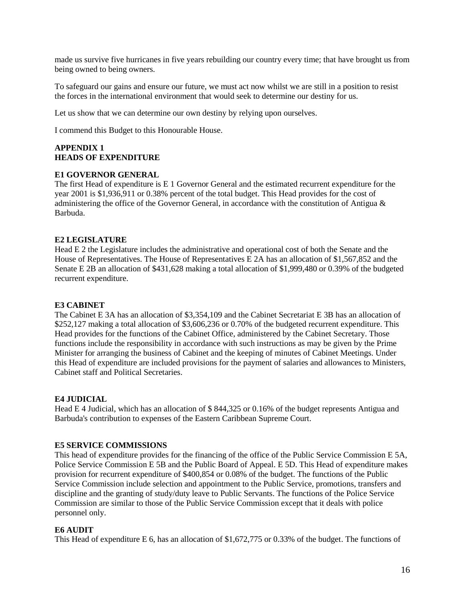made us survive five hurricanes in five years rebuilding our country every time; that have brought us from being owned to being owners.

To safeguard our gains and ensure our future, we must act now whilst we are still in a position to resist the forces in the international environment that would seek to determine our destiny for us.

Let us show that we can determine our own destiny by relying upon ourselves.

I commend this Budget to this Honourable House.

#### **APPENDIX 1 HEADS OF EXPENDITURE**

#### **E1 GOVERNOR GENERAL**

The first Head of expenditure is E 1 Governor General and the estimated recurrent expenditure for the year 2001 is \$1,936,911 or 0.38% percent of the total budget. This Head provides for the cost of administering the office of the Governor General, in accordance with the constitution of Antigua  $\&$ Barbuda.

#### **E2 LEGISLATURE**

Head E 2 the Legislature includes the administrative and operational cost of both the Senate and the House of Representatives. The House of Representatives E 2A has an allocation of \$1,567,852 and the Senate E 2B an allocation of \$431,628 making a total allocation of \$1,999,480 or 0.39% of the budgeted recurrent expenditure.

#### **E3 CABINET**

The Cabinet E 3A has an allocation of \$3,354,109 and the Cabinet Secretariat E 3B has an allocation of \$252,127 making a total allocation of \$3,606,236 or 0.70% of the budgeted recurrent expenditure. This Head provides for the functions of the Cabinet Office, administered by the Cabinet Secretary. Those functions include the responsibility in accordance with such instructions as may be given by the Prime Minister for arranging the business of Cabinet and the keeping of minutes of Cabinet Meetings. Under this Head of expenditure are included provisions for the payment of salaries and allowances to Ministers, Cabinet staff and Political Secretaries.

#### **E4 JUDICIAL**

Head E 4 Judicial, which has an allocation of \$ 844,325 or 0.16% of the budget represents Antigua and Barbuda's contribution to expenses of the Eastern Caribbean Supreme Court.

#### **E5 SERVICE COMMISSIONS**

This head of expenditure provides for the financing of the office of the Public Service Commission E 5A, Police Service Commission E 5B and the Public Board of Appeal. E 5D. This Head of expenditure makes provision for recurrent expenditure of \$400,854 or 0.08% of the budget. The functions of the Public Service Commission include selection and appointment to the Public Service, promotions, transfers and discipline and the granting of study/duty leave to Public Servants. The functions of the Police Service Commission are similar to those of the Public Service Commission except that it deals with police personnel only.

#### **E6 AUDIT**

This Head of expenditure E 6, has an allocation of \$1,672,775 or 0.33% of the budget. The functions of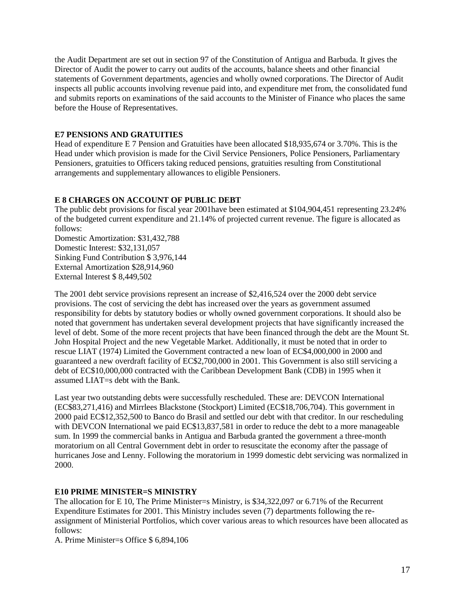the Audit Department are set out in section 97 of the Constitution of Antigua and Barbuda. It gives the Director of Audit the power to carry out audits of the accounts, balance sheets and other financial statements of Government departments, agencies and wholly owned corporations. The Director of Audit inspects all public accounts involving revenue paid into, and expenditure met from, the consolidated fund and submits reports on examinations of the said accounts to the Minister of Finance who places the same before the House of Representatives.

# **E7 PENSIONS AND GRATUITIES**

Head of expenditure E 7 Pension and Gratuities have been allocated \$18,935,674 or 3.70%. This is the Head under which provision is made for the Civil Service Pensioners, Police Pensioners, Parliamentary Pensioners, gratuities to Officers taking reduced pensions, gratuities resulting from Constitutional arrangements and supplementary allowances to eligible Pensioners.

# **E 8 CHARGES ON ACCOUNT OF PUBLIC DEBT**

The public debt provisions for fiscal year 2001have been estimated at \$104,904,451 representing 23.24% of the budgeted current expenditure and 21.14% of projected current revenue. The figure is allocated as follows:

Domestic Amortization: \$31,432,788 Domestic Interest: \$32,131,057 Sinking Fund Contribution \$ 3,976,144 External Amortization \$28,914,960 External Interest \$ 8,449,502

The 2001 debt service provisions represent an increase of \$2,416,524 over the 2000 debt service provisions. The cost of servicing the debt has increased over the years as government assumed responsibility for debts by statutory bodies or wholly owned government corporations. It should also be noted that government has undertaken several development projects that have significantly increased the level of debt. Some of the more recent projects that have been financed through the debt are the Mount St. John Hospital Project and the new Vegetable Market. Additionally, it must be noted that in order to rescue LIAT (1974) Limited the Government contracted a new loan of EC\$4,000,000 in 2000 and guaranteed a new overdraft facility of EC\$2,700,000 in 2001. This Government is also still servicing a debt of EC\$10,000,000 contracted with the Caribbean Development Bank (CDB) in 1995 when it assumed LIAT=s debt with the Bank.

Last year two outstanding debts were successfully rescheduled. These are: DEVCON International (EC\$83,271,416) and Mirrlees Blackstone (Stockport) Limited (EC\$18,706,704). This government in 2000 paid EC\$12,352,500 to Banco do Brasil and settled our debt with that creditor. In our rescheduling with DEVCON International we paid EC\$13,837,581 in order to reduce the debt to a more manageable sum. In 1999 the commercial banks in Antigua and Barbuda granted the government a three-month moratorium on all Central Government debt in order to resuscitate the economy after the passage of hurricanes Jose and Lenny. Following the moratorium in 1999 domestic debt servicing was normalized in 2000.

#### **E10 PRIME MINISTER=S MINISTRY**

The allocation for E 10, The Prime Minister=s Ministry, is \$34,322,097 or 6.71% of the Recurrent Expenditure Estimates for 2001. This Ministry includes seven (7) departments following the reassignment of Ministerial Portfolios, which cover various areas to which resources have been allocated as follows:

A. Prime Minister=s Office \$ 6,894,106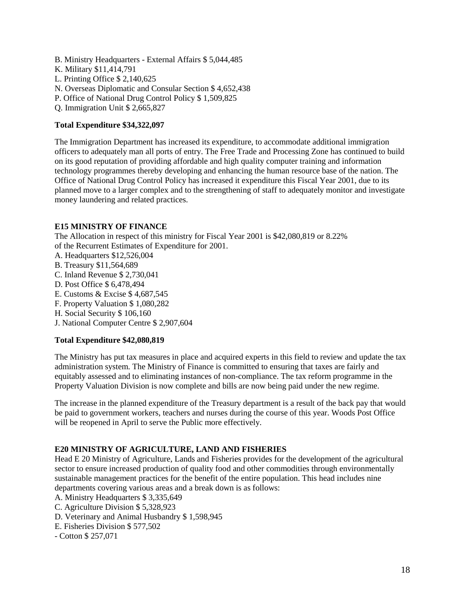- B. Ministry Headquarters External Affairs \$ 5,044,485
- K. Military \$11,414,791
- L. Printing Office \$ 2,140,625
- N. Overseas Diplomatic and Consular Section \$ 4,652,438
- P. Office of National Drug Control Policy \$ 1,509,825
- Q. Immigration Unit \$ 2,665,827

# **Total Expenditure \$34,322,097**

The Immigration Department has increased its expenditure, to accommodate additional immigration officers to adequately man all ports of entry. The Free Trade and Processing Zone has continued to build on its good reputation of providing affordable and high quality computer training and information technology programmes thereby developing and enhancing the human resource base of the nation. The Office of National Drug Control Policy has increased it expenditure this Fiscal Year 2001, due to its planned move to a larger complex and to the strengthening of staff to adequately monitor and investigate money laundering and related practices.

#### **E15 MINISTRY OF FINANCE**

The Allocation in respect of this ministry for Fiscal Year 2001 is \$42,080,819 or 8.22% of the Recurrent Estimates of Expenditure for 2001.

- A. Headquarters \$12,526,004
- B. Treasury \$11,564,689
- C. Inland Revenue \$ 2,730,041
- D. Post Office \$ 6,478,494
- E. Customs & Excise \$ 4,687,545
- F. Property Valuation \$ 1,080,282
- H. Social Security \$ 106,160
- J. National Computer Centre \$ 2,907,604

# **Total Expenditure \$42,080,819**

The Ministry has put tax measures in place and acquired experts in this field to review and update the tax administration system. The Ministry of Finance is committed to ensuring that taxes are fairly and equitably assessed and to eliminating instances of non-compliance. The tax reform programme in the Property Valuation Division is now complete and bills are now being paid under the new regime.

The increase in the planned expenditure of the Treasury department is a result of the back pay that would be paid to government workers, teachers and nurses during the course of this year. Woods Post Office will be reopened in April to serve the Public more effectively.

# **E20 MINISTRY OF AGRICULTURE, LAND AND FISHERIES**

Head E 20 Ministry of Agriculture, Lands and Fisheries provides for the development of the agricultural sector to ensure increased production of quality food and other commodities through environmentally sustainable management practices for the benefit of the entire population. This head includes nine departments covering various areas and a break down is as follows:

- A. Ministry Headquarters \$ 3,335,649
- C. Agriculture Division \$ 5,328,923
- D. Veterinary and Animal Husbandry \$ 1,598,945
- E. Fisheries Division \$ 577,502
- Cotton \$ 257,071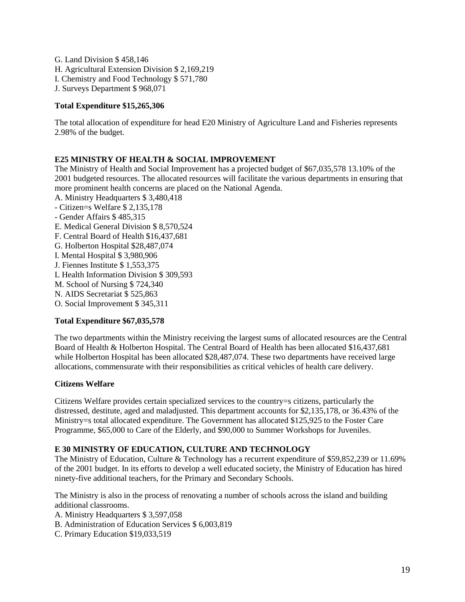G. Land Division \$ 458,146 H. Agricultural Extension Division \$ 2,169,219 I. Chemistry and Food Technology \$ 571,780 J. Surveys Department \$ 968,071

# **Total Expenditure \$15,265,306**

The total allocation of expenditure for head E20 Ministry of Agriculture Land and Fisheries represents 2.98% of the budget.

#### **E25 MINISTRY OF HEALTH & SOCIAL IMPROVEMENT**

The Ministry of Health and Social Improvement has a projected budget of \$67,035,578 13.10% of the 2001 budgeted resources. The allocated resources will facilitate the various departments in ensuring that more prominent health concerns are placed on the National Agenda. A. Ministry Headquarters \$ 3,480,418

- Citizen=s Welfare \$ 2,135,178 - Gender Affairs \$ 485,315 E. Medical General Division \$ 8,570,524 F. Central Board of Health \$16,437,681 G. Holberton Hospital \$28,487,074 I. Mental Hospital \$ 3,980,906 J. Fiennes Institute \$ 1,553,375 L Health Information Division \$ 309,593 M. School of Nursing \$ 724,340 N. AIDS Secretariat \$ 525,863 O. Social Improvement \$ 345,311

#### **Total Expenditure \$67,035,578**

The two departments within the Ministry receiving the largest sums of allocated resources are the Central Board of Health & Holberton Hospital. The Central Board of Health has been allocated \$16,437,681 while Holberton Hospital has been allocated \$28,487,074. These two departments have received large allocations, commensurate with their responsibilities as critical vehicles of health care delivery.

#### **Citizens Welfare**

Citizens Welfare provides certain specialized services to the country=s citizens, particularly the distressed, destitute, aged and maladjusted. This department accounts for \$2,135,178, or 36.43% of the Ministry=s total allocated expenditure. The Government has allocated \$125,925 to the Foster Care Programme, \$65,000 to Care of the Elderly, and \$90,000 to Summer Workshops for Juveniles.

#### **E 30 MINISTRY OF EDUCATION, CULTURE AND TECHNOLOGY**

The Ministry of Education, Culture & Technology has a recurrent expenditure of \$59,852,239 or 11.69% of the 2001 budget. In its efforts to develop a well educated society, the Ministry of Education has hired ninety-five additional teachers, for the Primary and Secondary Schools.

The Ministry is also in the process of renovating a number of schools across the island and building additional classrooms.

- A. Ministry Headquarters \$ 3,597,058
- B. Administration of Education Services \$ 6,003,819
- C. Primary Education \$19,033,519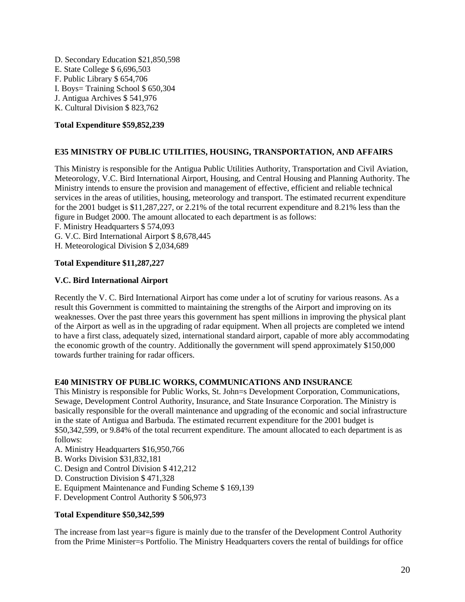D. Secondary Education \$21,850,598 E. State College \$ 6,696,503 F. Public Library \$ 654,706 I. Boys= Training School \$ 650,304 J. Antigua Archives \$ 541,976 K. Cultural Division \$ 823,762

# **Total Expenditure \$59,852,239**

# **E35 MINISTRY OF PUBLIC UTILITIES, HOUSING, TRANSPORTATION, AND AFFAIRS**

This Ministry is responsible for the Antigua Public Utilities Authority, Transportation and Civil Aviation, Meteorology, V.C. Bird International Airport, Housing, and Central Housing and Planning Authority. The Ministry intends to ensure the provision and management of effective, efficient and reliable technical services in the areas of utilities, housing, meteorology and transport. The estimated recurrent expenditure for the 2001 budget is \$11,287,227, or 2.21% of the total recurrent expenditure and 8.21% less than the figure in Budget 2000. The amount allocated to each department is as follows: F. Ministry Headquarters \$ 574,093

G. V.C. Bird International Airport \$ 8,678,445

H. Meteorological Division \$ 2,034,689

# **Total Expenditure \$11,287,227**

#### **V.C. Bird International Airport**

Recently the V. C. Bird International Airport has come under a lot of scrutiny for various reasons. As a result this Government is committed to maintaining the strengths of the Airport and improving on its weaknesses. Over the past three years this government has spent millions in improving the physical plant of the Airport as well as in the upgrading of radar equipment. When all projects are completed we intend to have a first class, adequately sized, international standard airport, capable of more ably accommodating the economic growth of the country. Additionally the government will spend approximately \$150,000 towards further training for radar officers.

#### **E40 MINISTRY OF PUBLIC WORKS, COMMUNICATIONS AND INSURANCE**

This Ministry is responsible for Public Works, St. John=s Development Corporation, Communications, Sewage, Development Control Authority, Insurance, and State Insurance Corporation. The Ministry is basically responsible for the overall maintenance and upgrading of the economic and social infrastructure in the state of Antigua and Barbuda. The estimated recurrent expenditure for the 2001 budget is \$50,342,599, or 9.84% of the total recurrent expenditure. The amount allocated to each department is as follows:

- A. Ministry Headquarters \$16,950,766
- B. Works Division \$31,832,181
- C. Design and Control Division \$ 412,212
- D. Construction Division \$ 471,328
- E. Equipment Maintenance and Funding Scheme \$ 169,139
- F. Development Control Authority \$ 506,973

#### **Total Expenditure \$50,342,599**

The increase from last year=s figure is mainly due to the transfer of the Development Control Authority from the Prime Minister=s Portfolio. The Ministry Headquarters covers the rental of buildings for office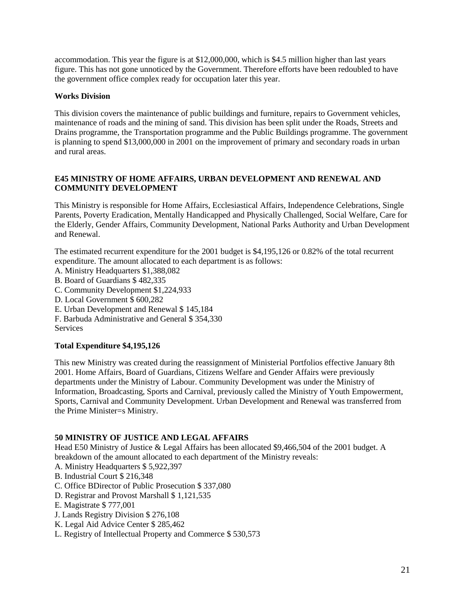accommodation. This year the figure is at \$12,000,000, which is \$4.5 million higher than last years figure. This has not gone unnoticed by the Government. Therefore efforts have been redoubled to have the government office complex ready for occupation later this year.

# **Works Division**

This division covers the maintenance of public buildings and furniture, repairs to Government vehicles, maintenance of roads and the mining of sand. This division has been split under the Roads, Streets and Drains programme, the Transportation programme and the Public Buildings programme. The government is planning to spend \$13,000,000 in 2001 on the improvement of primary and secondary roads in urban and rural areas.

# **E45 MINISTRY OF HOME AFFAIRS, URBAN DEVELOPMENT AND RENEWAL AND COMMUNITY DEVELOPMENT**

This Ministry is responsible for Home Affairs, Ecclesiastical Affairs, Independence Celebrations, Single Parents, Poverty Eradication, Mentally Handicapped and Physically Challenged, Social Welfare, Care for the Elderly, Gender Affairs, Community Development, National Parks Authority and Urban Development and Renewal.

The estimated recurrent expenditure for the 2001 budget is \$4,195,126 or 0.82% of the total recurrent expenditure. The amount allocated to each department is as follows:

- A. Ministry Headquarters \$1,388,082
- B. Board of Guardians \$ 482,335
- C. Community Development \$1,224,933
- D. Local Government \$ 600,282
- E. Urban Development and Renewal \$ 145,184
- F. Barbuda Administrative and General \$ 354,330 **Services**

# **Total Expenditure \$4,195,126**

This new Ministry was created during the reassignment of Ministerial Portfolios effective January 8th 2001. Home Affairs, Board of Guardians, Citizens Welfare and Gender Affairs were previously departments under the Ministry of Labour. Community Development was under the Ministry of Information, Broadcasting, Sports and Carnival, previously called the Ministry of Youth Empowerment, Sports, Carnival and Community Development. Urban Development and Renewal was transferred from the Prime Minister=s Ministry.

#### **50 MINISTRY OF JUSTICE AND LEGAL AFFAIRS**

Head E50 Ministry of Justice & Legal Affairs has been allocated \$9,466,504 of the 2001 budget. A breakdown of the amount allocated to each department of the Ministry reveals:

- A. Ministry Headquarters \$ 5,922,397
- B. Industrial Court \$ 216,348
- C. Office BDirector of Public Prosecution \$ 337,080
- D. Registrar and Provost Marshall \$ 1,121,535
- E. Magistrate \$ 777,001
- J. Lands Registry Division \$ 276,108
- K. Legal Aid Advice Center \$ 285,462
- L. Registry of Intellectual Property and Commerce \$ 530,573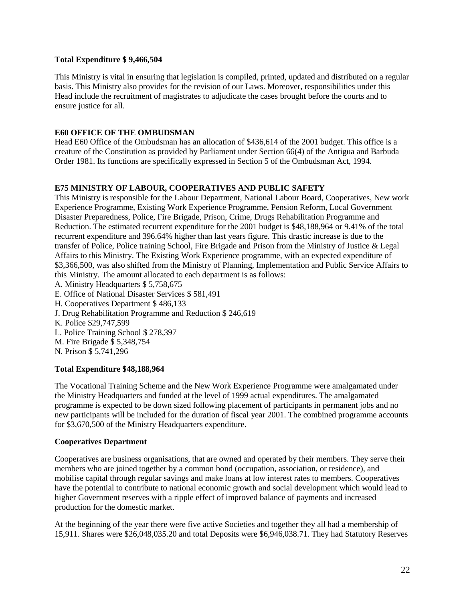#### **Total Expenditure \$ 9,466,504**

This Ministry is vital in ensuring that legislation is compiled, printed, updated and distributed on a regular basis. This Ministry also provides for the revision of our Laws. Moreover, responsibilities under this Head include the recruitment of magistrates to adjudicate the cases brought before the courts and to ensure justice for all.

# **E60 OFFICE OF THE OMBUDSMAN**

Head E60 Office of the Ombudsman has an allocation of \$436,614 of the 2001 budget. This office is a creature of the Constitution as provided by Parliament under Section 66(4) of the Antigua and Barbuda Order 1981. Its functions are specifically expressed in Section 5 of the Ombudsman Act, 1994.

# **E75 MINISTRY OF LABOUR, COOPERATIVES AND PUBLIC SAFETY**

This Ministry is responsible for the Labour Department, National Labour Board, Cooperatives, New work Experience Programme, Existing Work Experience Programme, Pension Reform, Local Government Disaster Preparedness, Police, Fire Brigade, Prison, Crime, Drugs Rehabilitation Programme and Reduction. The estimated recurrent expenditure for the 2001 budget is \$48,188,964 or 9.41% of the total recurrent expenditure and 396.64% higher than last years figure. This drastic increase is due to the transfer of Police, Police training School, Fire Brigade and Prison from the Ministry of Justice & Legal Affairs to this Ministry. The Existing Work Experience programme, with an expected expenditure of \$3,366,500, was also shifted from the Ministry of Planning, Implementation and Public Service Affairs to this Ministry. The amount allocated to each department is as follows:

- A. Ministry Headquarters \$ 5,758,675
- E. Office of National Disaster Services \$ 581,491
- H. Cooperatives Department \$ 486,133
- J. Drug Rehabilitation Programme and Reduction \$ 246,619
- K. Police \$29,747,599
- L. Police Training School \$ 278,397
- M. Fire Brigade \$ 5,348,754
- N. Prison \$ 5,741,296

# **Total Expenditure \$48,188,964**

The Vocational Training Scheme and the New Work Experience Programme were amalgamated under the Ministry Headquarters and funded at the level of 1999 actual expenditures. The amalgamated programme is expected to be down sized following placement of participants in permanent jobs and no new participants will be included for the duration of fiscal year 2001. The combined programme accounts for \$3,670,500 of the Ministry Headquarters expenditure.

# **Cooperatives Department**

Cooperatives are business organisations, that are owned and operated by their members. They serve their members who are joined together by a common bond (occupation, association, or residence), and mobilise capital through regular savings and make loans at low interest rates to members. Cooperatives have the potential to contribute to national economic growth and social development which would lead to higher Government reserves with a ripple effect of improved balance of payments and increased production for the domestic market.

At the beginning of the year there were five active Societies and together they all had a membership of 15,911. Shares were \$26,048,035.20 and total Deposits were \$6,946,038.71. They had Statutory Reserves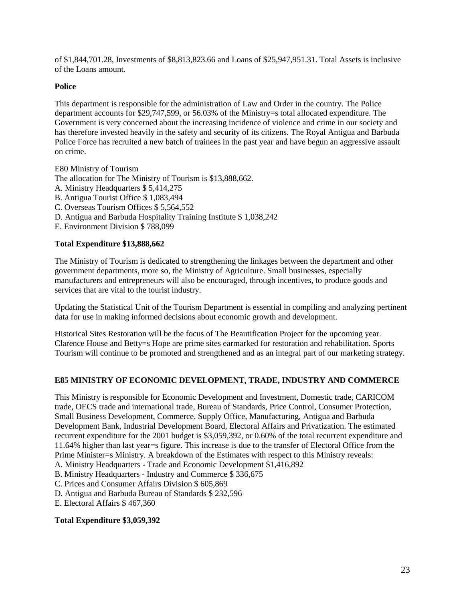of \$1,844,701.28, Investments of \$8,813,823.66 and Loans of \$25,947,951.31. Total Assets is inclusive of the Loans amount.

# **Police**

This department is responsible for the administration of Law and Order in the country. The Police department accounts for \$29,747,599, or 56.03% of the Ministry=s total allocated expenditure. The Government is very concerned about the increasing incidence of violence and crime in our society and has therefore invested heavily in the safety and security of its citizens. The Royal Antigua and Barbuda Police Force has recruited a new batch of trainees in the past year and have begun an aggressive assault on crime.

E80 Ministry of Tourism The allocation for The Ministry of Tourism is \$13,888,662. A. Ministry Headquarters \$ 5,414,275 B. Antigua Tourist Office \$ 1,083,494 C. Overseas Tourism Offices \$ 5,564,552 D. Antigua and Barbuda Hospitality Training Institute \$ 1,038,242 E. Environment Division \$ 788,099

# **Total Expenditure \$13,888,662**

The Ministry of Tourism is dedicated to strengthening the linkages between the department and other government departments, more so, the Ministry of Agriculture. Small businesses, especially manufacturers and entrepreneurs will also be encouraged, through incentives, to produce goods and services that are vital to the tourist industry.

Updating the Statistical Unit of the Tourism Department is essential in compiling and analyzing pertinent data for use in making informed decisions about economic growth and development.

Historical Sites Restoration will be the focus of The Beautification Project for the upcoming year. Clarence House and Betty=s Hope are prime sites earmarked for restoration and rehabilitation. Sports Tourism will continue to be promoted and strengthened and as an integral part of our marketing strategy.

#### **E85 MINISTRY OF ECONOMIC DEVELOPMENT, TRADE, INDUSTRY AND COMMERCE**

This Ministry is responsible for Economic Development and Investment, Domestic trade, CARICOM trade, OECS trade and international trade, Bureau of Standards, Price Control, Consumer Protection, Small Business Development, Commerce, Supply Office, Manufacturing, Antigua and Barbuda Development Bank, Industrial Development Board, Electoral Affairs and Privatization. The estimated recurrent expenditure for the 2001 budget is \$3,059,392, or 0.60% of the total recurrent expenditure and 11.64% higher than last year=s figure. This increase is due to the transfer of Electoral Office from the Prime Minister=s Ministry. A breakdown of the Estimates with respect to this Ministry reveals:

A. Ministry Headquarters - Trade and Economic Development \$1,416,892

B. Ministry Headquarters - Industry and Commerce \$ 336,675

C. Prices and Consumer Affairs Division \$ 605,869

D. Antigua and Barbuda Bureau of Standards \$ 232,596

E. Electoral Affairs \$ 467,360

#### **Total Expenditure \$3,059,392**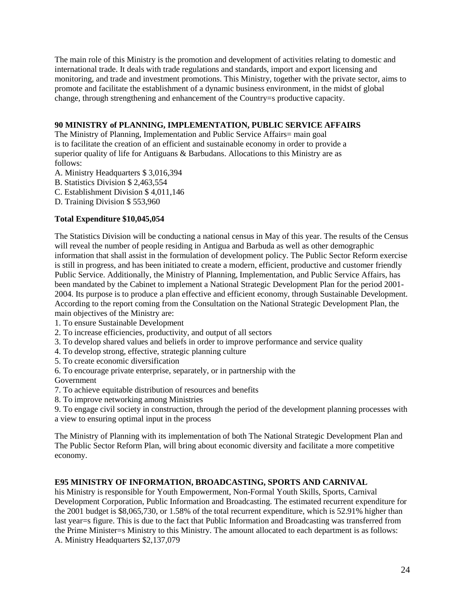The main role of this Ministry is the promotion and development of activities relating to domestic and international trade. It deals with trade regulations and standards, import and export licensing and monitoring, and trade and investment promotions. This Ministry, together with the private sector, aims to promote and facilitate the establishment of a dynamic business environment, in the midst of global change, through strengthening and enhancement of the Country=s productive capacity.

# **90 MINISTRY of PLANNING, IMPLEMENTATION, PUBLIC SERVICE AFFAIRS**

The Ministry of Planning, Implementation and Public Service Affairs= main goal is to facilitate the creation of an efficient and sustainable economy in order to provide a superior quality of life for Antiguans & Barbudans. Allocations to this Ministry are as follows:

- A. Ministry Headquarters \$ 3,016,394
- B. Statistics Division \$ 2,463,554
- C. Establishment Division \$ 4,011,146
- D. Training Division \$ 553,960

# **Total Expenditure \$10,045,054**

The Statistics Division will be conducting a national census in May of this year. The results of the Census will reveal the number of people residing in Antigua and Barbuda as well as other demographic information that shall assist in the formulation of development policy. The Public Sector Reform exercise is still in progress, and has been initiated to create a modern, efficient, productive and customer friendly Public Service. Additionally, the Ministry of Planning, Implementation, and Public Service Affairs, has been mandated by the Cabinet to implement a National Strategic Development Plan for the period 2001- 2004. Its purpose is to produce a plan effective and efficient economy, through Sustainable Development. According to the report coming from the Consultation on the National Strategic Development Plan, the main objectives of the Ministry are:

- 1. To ensure Sustainable Development
- 2. To increase efficiencies, productivity, and output of all sectors
- 3. To develop shared values and beliefs in order to improve performance and service quality
- 4. To develop strong, effective, strategic planning culture
- 5. To create economic diversification
- 6. To encourage private enterprise, separately, or in partnership with the

Government

- 7. To achieve equitable distribution of resources and benefits
- 8. To improve networking among Ministries

9. To engage civil society in construction, through the period of the development planning processes with a view to ensuring optimal input in the process

The Ministry of Planning with its implementation of both The National Strategic Development Plan and The Public Sector Reform Plan, will bring about economic diversity and facilitate a more competitive economy.

# **E95 MINISTRY OF INFORMATION, BROADCASTING, SPORTS AND CARNIVAL**

his Ministry is responsible for Youth Empowerment, Non-Formal Youth Skills, Sports, Carnival Development Corporation, Public Information and Broadcasting. The estimated recurrent expenditure for the 2001 budget is \$8,065,730, or 1.58% of the total recurrent expenditure, which is 52.91% higher than last year=s figure. This is due to the fact that Public Information and Broadcasting was transferred from the Prime Minister=s Ministry to this Ministry. The amount allocated to each department is as follows: A. Ministry Headquarters \$2,137,079